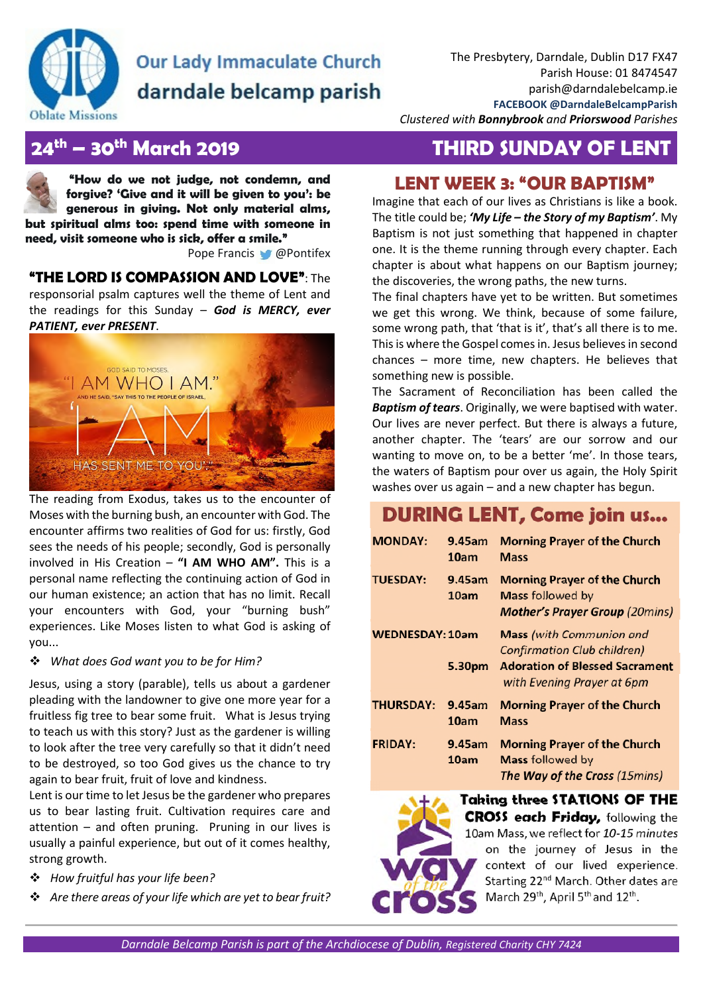

# **Our Lady Immaculate Church** darndale belcamp parish

*Clustered with Bonnybrook and Priorswood Parishes* 

## **24th – 30th March 2019 THIRD SUNDAY OF LENT**

**"How do we not judge, not condemn, and forgive? 'Give and it will be given to you': be generous in giving. Not only material alms, but spiritual alms too: spend time with someone in need, visit someone who is sick, offer a smile."** 

Pope Francis @ @Pontifex

**"THE LORD IS COMPASSION AND LOVE"**: The responsorial psalm captures well the theme of Lent and the readings for this Sunday – *God is MERCY, ever PATIENT, ever PRESENT*.



The reading from Exodus, takes us to the encounter of Moses with the burning bush, an encounter with God. The encounter affirms two realities of God for us: firstly, God sees the needs of his people; secondly, God is personally involved in His Creation – **"I AM WHO AM".** This is a personal name reflecting the continuing action of God in our human existence; an action that has no limit. Recall your encounters with God, your "burning bush" experiences. Like Moses listen to what God is asking of you...

### *What does God want you to be for Him?*

Jesus, using a story (parable), tells us about a gardener pleading with the landowner to give one more year for a fruitless fig tree to bear some fruit. What is Jesus trying to teach us with this story? Just as the gardener is willing to look after the tree very carefully so that it didn't need to be destroyed, so too God gives us the chance to try again to bear fruit, fruit of love and kindness.

Lent is our time to let Jesus be the gardener who prepares us to bear lasting fruit. Cultivation requires care and attention – and often pruning. Pruning in our lives is usually a painful experience, but out of it comes healthy, strong growth.

- *How fruitful has your life been?*
- *Are there areas of your life which are yet to bear fruit?*

# **LENT WEEK 3: "OUR BAPTISM"**

Imagine that each of our lives as Christians is like a book. The title could be; *'My Life – the Story of my Baptism'*. My Baptism is not just something that happened in chapter one. It is the theme running through every chapter. Each chapter is about what happens on our Baptism journey; the discoveries, the wrong paths, the new turns.

The final chapters have yet to be written. But sometimes we get this wrong. We think, because of some failure, some wrong path, that 'that is it', that's all there is to me. This is where the Gospel comes in. Jesus believes in second chances – more time, new chapters. He believes that something new is possible.

The Sacrament of Reconciliation has been called the *Baptism of tears*. Originally, we were baptised with water. Our lives are never perfect. But there is always a future, another chapter. The 'tears' are our sorrow and our wanting to move on, to be a better 'me'. In those tears, the waters of Baptism pour over us again, the Holy Spirit washes over us again – and a new chapter has begun.

# **DURING LENT, Come join us...**

| <b>MONDAY:</b>         | 9.45am<br>10am | <b>Morning Prayer of the Church</b><br>Mass                                                                                                  |
|------------------------|----------------|----------------------------------------------------------------------------------------------------------------------------------------------|
| <b>TUESDAY:</b>        | 9.45am<br>10am | <b>Morning Prayer of the Church</b><br><b>Mass followed by</b><br><b>Mother's Prayer Group (20mins)</b>                                      |
| <b>WEDNESDAY: 10am</b> | 5.30pm         | <b>Mass</b> (with Communion and<br><b>Confirmation Club children)</b><br><b>Adoration of Blessed Sacrament</b><br>with Evening Prayer at 6pm |
| <b>THURSDAY:</b>       | 9.45am<br>10am | <b>Morning Prayer of the Church</b><br><b>Mass</b>                                                                                           |
| <b>FRIDAY:</b>         | 9.45am<br>10am | <b>Morning Prayer of the Church</b><br><b>Mass followed by</b><br>The Way of the Cross (15mins)                                              |



**Taking three STATIONS OF THE CROSS each Friday,** following the 10am Mass, we reflect for *10-15 minutes* on the journey of Jesus in the context of our lived experience. Starting 22<sup>nd</sup> March. Other dates are March 29<sup>th</sup>, April 5<sup>th</sup> and 12<sup>th</sup>.